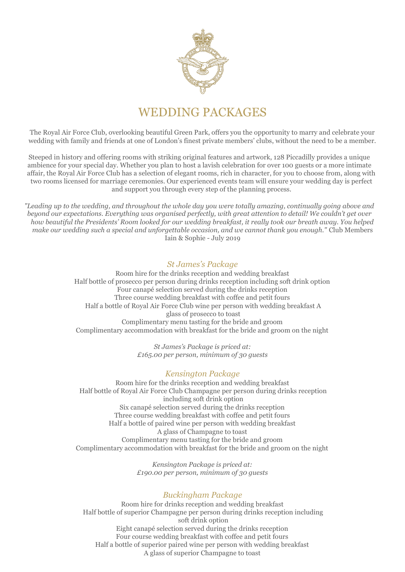

# WEDDING PACKAGES

The Royal Air Force Club, overlooking beautiful Green Park, offers you the opportunity to marry and celebrate your wedding with family and friends at one of London's finest private members' clubs, without the need to be a member.

Steeped in history and offering rooms with striking original features and artwork, 128 Piccadilly provides a unique ambience for your special day. Whether you plan to host a lavish celebration for over 100 guests or a more intimate affair, the Royal Air Force Club has a selection of elegant rooms, rich in character, for you to choose from, along with two rooms licensed for marriage ceremonies. Our experienced events team will ensure your wedding day is perfect and support you through every step of the planning process.

*"Leading up to the wedding, and throughout the whole day you were totally amazing, continually going above and beyond our expectations. Everything was organised perfectly, with great attention to detail! We couldn't get over how beautiful the Presidents' Room looked for our wedding breakfast, it really took our breath away. You helped make our wedding such a special and unforgettable occasion, and we cannot thank you enough."* Club Members Iain & Sophie - July 2019

### *St James's Package*

Room hire for the drinks reception and wedding breakfast Half bottle of prosecco per person during drinks reception including soft drink option Four canapé selection served during the drinks reception Three course wedding breakfast with coffee and petit fours Half a bottle of Royal Air Force Club wine per person with wedding breakfast A glass of prosecco to toast Complimentary menu tasting for the bride and groom Complimentary accommodation with breakfast for the bride and groom on the night

> *St James's Package is priced at: £165.00 per person, minimum of 30 guests*

# *Kensington Package*

Room hire for the drinks reception and wedding breakfast Half bottle of Royal Air Force Club Champagne per person during drinks reception including soft drink option Six canapé selection served during the drinks reception Three course wedding breakfast with coffee and petit fours Half a bottle of paired wine per person with wedding breakfast A glass of Champagne to toast Complimentary menu tasting for the bride and groom Complimentary accommodation with breakfast for the bride and groom on the night

> *Kensington Package is priced at: £190.00 per person, minimum of 30 guests*

# *Buckingham Package*

Room hire for drinks reception and wedding breakfast Half bottle of superior Champagne per person during drinks reception including soft drink option Eight canapé selection served during the drinks reception Four course wedding breakfast with coffee and petit fours Half a bottle of superior paired wine per person with wedding breakfast A glass of superior Champagne to toast